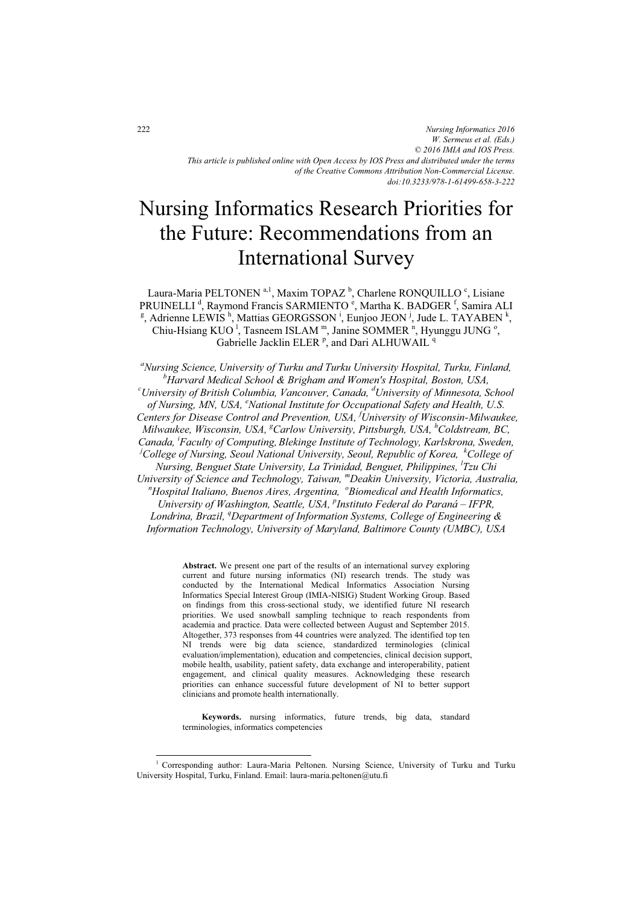# Nursing Informatics Research Priorities for the Future: Recommendations from an International Survey

Laura-Maria PELTONEN<sup>a, 1</sup>, Maxim TOPAZ<sup>b</sup>, Charlene RONQUILLO<sup>c</sup>, Lisiane PRUINELLI<sup>d</sup>, Raymond Francis SARMIENTO<sup>e</sup>, Martha K. BADGER<sup>f</sup> PRUINELLI <sup>a</sup>, Raymond Francis SARMIENTO <sup>e</sup>, Martha K. BADGER <sup>1</sup>, Samira ALI<br><sup>g</sup>, Adrienne LEWIS <sup>h</sup>, Mattias GEORGSSON <sup>i</sup>, Eunjoo JEON <sup>j</sup>, Jude L. TAYABEN <sup>k</sup>, Chiu-Hsiang KUO<sup>1</sup>, Tasneem ISLAM<sup>m</sup>, Janine SOMMER<sup>n</sup>, Hyunggu JUNG<sup>o</sup>, Gabrielle Jacklin ELER<sup>p</sup>, and Dari ALHUWAIL<sup>q</sup>

*a Nursing Science, University of Turku and Turku University Hospital, Turku, Finland, b* Harvard Medical School & Brigham and Women's Hospital, Boston, USA,<br><sup>c</sup>University of British Columbia, Vancouver, Canada, <sup>d</sup>University of Minnesota, Se *University of British Columbia, Vancouver, Canada, <sup>d</sup> University of Minnesota, School*  of Nursing, MN, USA, <sup>e</sup>National Institute for Occupational Safety and Health, U.S. *Centers for Disease Control and Prevention, USA, <sup>f</sup> University of Wisconsin-Milwaukee, Milwaukee, Wisconsin, USA, <sup>g</sup>Carlow University, Pittsburgh, USA, <sup>h</sup>Coldstream, BC, Canada, i Faculty of Computing, Blekinge Institute of Technology, Karlskrona, Sweden,*  <sup>*i*</sup>College of Nursing, Seoul National University, Seoul, Republic of Korea, <sup>k</sup>College of *Nursing, Benguet State University, La Trinidad, Benguet, Philippines, <sup>l</sup> Tzu Chi University of Science and Technology, Taiwan, mDeakin University, Victoria, Australia, n Hospital Italiano, Buenos Aires, Argentina, <sup>o</sup> Biomedical and Health Informatics, University of Washington, Seattle, USA, <sup>p</sup>Instituto Federal do Paraná – IFPR, Londrina, Brazil, <sup>q</sup> Department of Information Systems, College of Engineering & Information Technology, University of Maryland, Baltimore County (UMBC), USA* 

> **Abstract.** We present one part of the results of an international survey exploring current and future nursing informatics (NI) research trends. The study was conducted by the International Medical Informatics Association Nursing Informatics Special Interest Group (IMIA-NISIG) Student Working Group. Based on findings from this cross-sectional study, we identified future NI research priorities. We used snowball sampling technique to reach respondents from academia and practice. Data were collected between August and September 2015. Altogether, 373 responses from 44 countries were analyzed. The identified top ten NI trends were big data science, standardized terminologies (clinical evaluation/implementation), education and competencies, clinical decision support, mobile health, usability, patient safety, data exchange and interoperability, patient engagement, and clinical quality measures. Acknowledging these research priorities can enhance successful future development of NI to better support clinicians and promote health internationally.

> **Keywords.** nursing informatics, future trends, big data, standard terminologies, informatics competencies

-

<sup>1</sup> Corresponding author: Laura-Maria Peltonen. Nursing Science, University of Turku and Turku University Hospital, Turku, Finland. Email: laura-maria.peltonen@utu.fi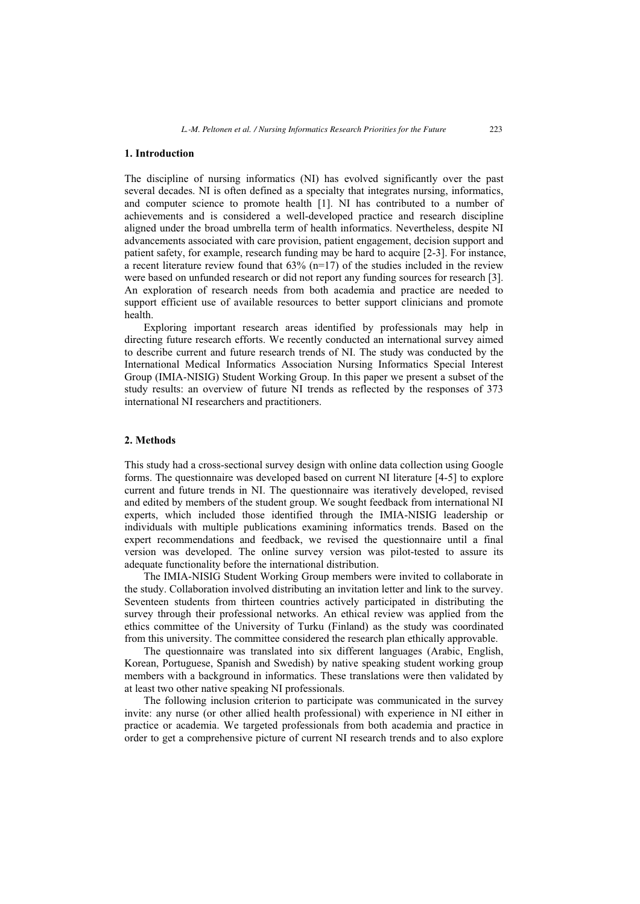#### **1. Introduction**

The discipline of nursing informatics (NI) has evolved significantly over the past several decades. NI is often defined as a specialty that integrates nursing, informatics, and computer science to promote health [1]. NI has contributed to a number of achievements and is considered a well-developed practice and research discipline aligned under the broad umbrella term of health informatics. Nevertheless, despite NI advancements associated with care provision, patient engagement, decision support and patient safety, for example, research funding may be hard to acquire [2-3]. For instance, a recent literature review found that  $63\%$  (n=17) of the studies included in the review were based on unfunded research or did not report any funding sources for research [3]. An exploration of research needs from both academia and practice are needed to support efficient use of available resources to better support clinicians and promote health.

Exploring important research areas identified by professionals may help in directing future research efforts. We recently conducted an international survey aimed to describe current and future research trends of NI. The study was conducted by the International Medical Informatics Association Nursing Informatics Special Interest Group (IMIA-NISIG) Student Working Group. In this paper we present a subset of the study results: an overview of future NI trends as reflected by the responses of 373 international NI researchers and practitioners.

## **2. Methods**

This study had a cross-sectional survey design with online data collection using Google forms. The questionnaire was developed based on current NI literature [4-5] to explore current and future trends in NI. The questionnaire was iteratively developed, revised and edited by members of the student group. We sought feedback from international NI experts, which included those identified through the IMIA-NISIG leadership or individuals with multiple publications examining informatics trends. Based on the expert recommendations and feedback, we revised the questionnaire until a final version was developed. The online survey version was pilot-tested to assure its adequate functionality before the international distribution.

The IMIA-NISIG Student Working Group members were invited to collaborate in the study. Collaboration involved distributing an invitation letter and link to the survey. Seventeen students from thirteen countries actively participated in distributing the survey through their professional networks. An ethical review was applied from the ethics committee of the University of Turku (Finland) as the study was coordinated from this university. The committee considered the research plan ethically approvable.

The questionnaire was translated into six different languages (Arabic, English, Korean, Portuguese, Spanish and Swedish) by native speaking student working group members with a background in informatics. These translations were then validated by at least two other native speaking NI professionals.

The following inclusion criterion to participate was communicated in the survey invite: any nurse (or other allied health professional) with experience in NI either in practice or academia. We targeted professionals from both academia and practice in order to get a comprehensive picture of current NI research trends and to also explore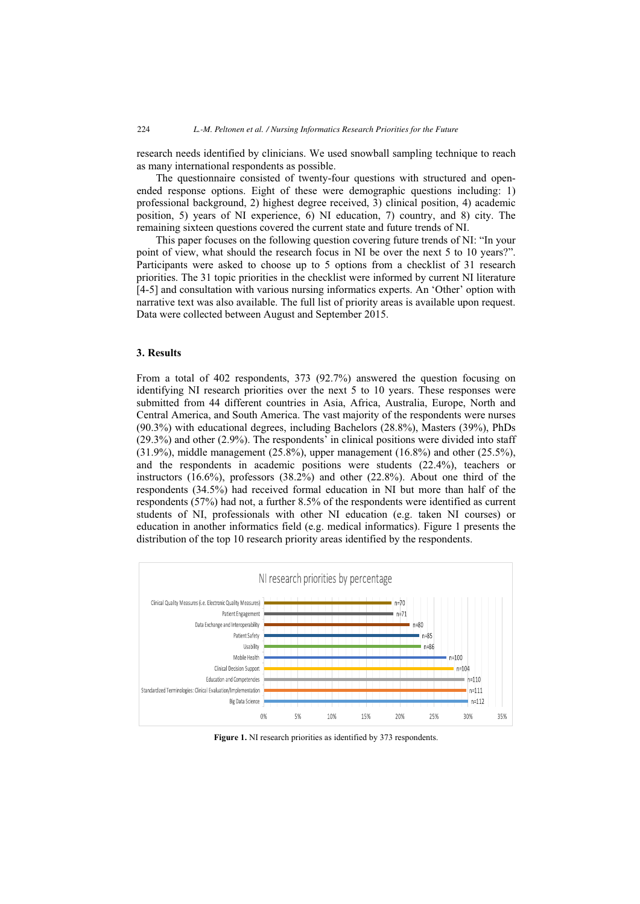research needs identified by clinicians. We used snowball sampling technique to reach as many international respondents as possible.

The questionnaire consisted of twenty-four questions with structured and openended response options. Eight of these were demographic questions including: 1) professional background, 2) highest degree received, 3) clinical position, 4) academic position, 5) years of NI experience, 6) NI education, 7) country, and 8) city. The remaining sixteen questions covered the current state and future trends of NI.

This paper focuses on the following question covering future trends of NI: "In your point of view, what should the research focus in NI be over the next 5 to 10 years?". Participants were asked to choose up to 5 options from a checklist of 31 research priorities. The 31 topic priorities in the checklist were informed by current NI literature [4-5] and consultation with various nursing informatics experts. An 'Other' option with narrative text was also available. The full list of priority areas is available upon request. Data were collected between August and September 2015.

### **3. Results**

From a total of 402 respondents, 373 (92.7%) answered the question focusing on identifying NI research priorities over the next 5 to 10 years. These responses were submitted from 44 different countries in Asia, Africa, Australia, Europe, North and Central America, and South America. The vast majority of the respondents were nurses (90.3%) with educational degrees, including Bachelors (28.8%), Masters (39%), PhDs (29.3%) and other (2.9%). The respondents' in clinical positions were divided into staff  $(31.9\%)$ , middle management  $(25.8\%)$ , upper management  $(16.8\%)$  and other  $(25.5\%)$ , and the respondents in academic positions were students (22.4%), teachers or instructors (16.6%), professors (38.2%) and other (22.8%). About one third of the respondents (34.5%) had received formal education in NI but more than half of the respondents (57%) had not, a further 8.5% of the respondents were identified as current students of NI, professionals with other NI education (e.g. taken NI courses) or education in another informatics field (e.g. medical informatics). Figure 1 presents the distribution of the top 10 research priority areas identified by the respondents.



**Figure 1.** NI research priorities as identified by 373 respondents.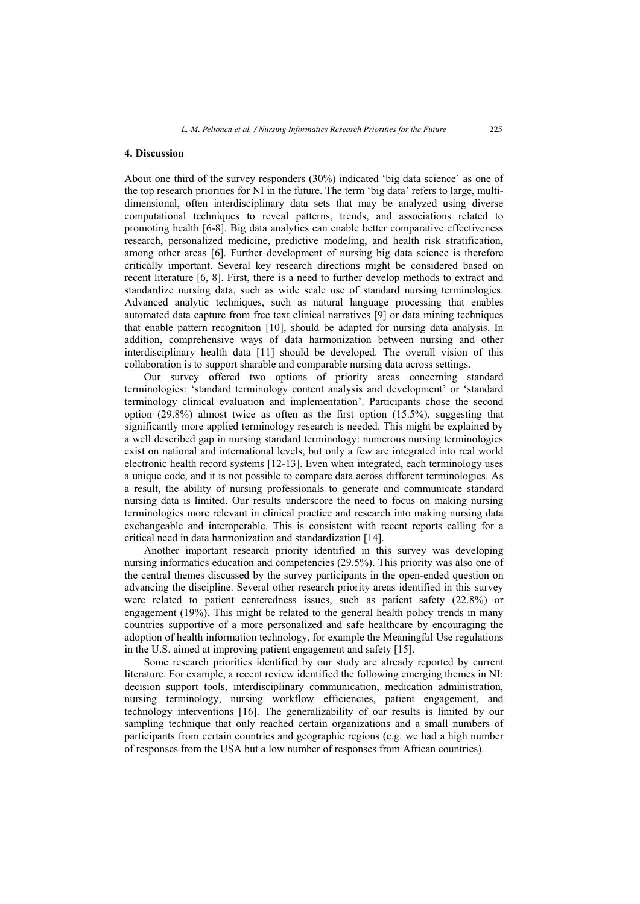#### **4. Discussion**

About one third of the survey responders (30%) indicated 'big data science' as one of the top research priorities for NI in the future. The term 'big data' refers to large, multidimensional, often interdisciplinary data sets that may be analyzed using diverse computational techniques to reveal patterns, trends, and associations related to promoting health [6-8]. Big data analytics can enable better comparative effectiveness research, personalized medicine, predictive modeling, and health risk stratification, among other areas [6]. Further development of nursing big data science is therefore critically important. Several key research directions might be considered based on recent literature [6, 8]. First, there is a need to further develop methods to extract and standardize nursing data, such as wide scale use of standard nursing terminologies. Advanced analytic techniques, such as natural language processing that enables automated data capture from free text clinical narratives [9] or data mining techniques that enable pattern recognition [10], should be adapted for nursing data analysis. In addition, comprehensive ways of data harmonization between nursing and other interdisciplinary health data [11] should be developed. The overall vision of this collaboration is to support sharable and comparable nursing data across settings.

Our survey offered two options of priority areas concerning standard terminologies: 'standard terminology content analysis and development' or 'standard terminology clinical evaluation and implementation'. Participants chose the second option  $(29.8\%)$  almost twice as often as the first option  $(15.5\%)$ , suggesting that significantly more applied terminology research is needed. This might be explained by a well described gap in nursing standard terminology: numerous nursing terminologies exist on national and international levels, but only a few are integrated into real world electronic health record systems [12-13]. Even when integrated, each terminology uses a unique code, and it is not possible to compare data across different terminologies. As a result, the ability of nursing professionals to generate and communicate standard nursing data is limited. Our results underscore the need to focus on making nursing terminologies more relevant in clinical practice and research into making nursing data exchangeable and interoperable. This is consistent with recent reports calling for a critical need in data harmonization and standardization [14].

Another important research priority identified in this survey was developing nursing informatics education and competencies (29.5%). This priority was also one of the central themes discussed by the survey participants in the open-ended question on advancing the discipline. Several other research priority areas identified in this survey were related to patient centeredness issues, such as patient safety (22.8%) or engagement (19%). This might be related to the general health policy trends in many countries supportive of a more personalized and safe healthcare by encouraging the adoption of health information technology, for example the Meaningful Use regulations in the U.S. aimed at improving patient engagement and safety [15].

Some research priorities identified by our study are already reported by current literature. For example, a recent review identified the following emerging themes in NI: decision support tools, interdisciplinary communication, medication administration, nursing terminology, nursing workflow efficiencies, patient engagement, and technology interventions [16]. The generalizability of our results is limited by our sampling technique that only reached certain organizations and a small numbers of participants from certain countries and geographic regions (e.g. we had a high number of responses from the USA but a low number of responses from African countries).